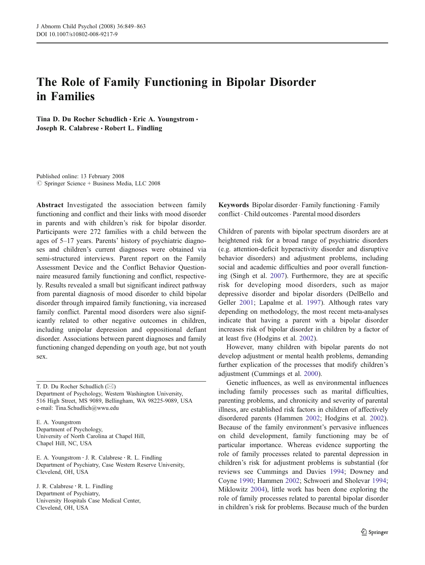# The Role of Family Functioning in Bipolar Disorder in Families

Tina D. Du Rocher Schudlich · Eric A. Youngstrom · Joseph R. Calabrese · Robert L. Findling

Published online: 13 February 2008  $\oslash$  Springer Science + Business Media, LLC 2008

Abstract Investigated the association between family functioning and conflict and their links with mood disorder in parents and with children's risk for bipolar disorder. Participants were 272 families with a child between the ages of 5–17 years. Parents' history of psychiatric diagnoses and children's current diagnoses were obtained via semi-structured interviews. Parent report on the Family Assessment Device and the Conflict Behavior Questionnaire measured family functioning and conflict, respectively. Results revealed a small but significant indirect pathway from parental diagnosis of mood disorder to child bipolar disorder through impaired family functioning, via increased family conflict. Parental mood disorders were also significantly related to other negative outcomes in children, including unipolar depression and oppositional defiant disorder. Associations between parent diagnoses and family functioning changed depending on youth age, but not youth sex.

T. D. Du Rocher Schudlich (*\**)

Department of Psychology, Western Washington University, 516 High Street, MS 9089, Bellingham, WA 98225-9089, USA e-mail: Tina.Schudlich@wwu.edu

E. A. Youngstrom Department of Psychology, University of North Carolina at Chapel Hill, Chapel Hill, NC, USA

E. A. Youngstrom : J. R. Calabrese : R. L. Findling Department of Psychiatry, Case Western Reserve University, Clevelend, OH, USA

J. R. Calabrese : R. L. Findling Department of Psychiatry, University Hospitals Case Medical Center, Clevelend, OH, USA

Keywords Bipolar disorder. Family functioning . Family conflict · Child outcomes · Parental mood disorders

Children of parents with bipolar spectrum disorders are at heightened risk for a broad range of psychiatric disorders (e.g. attention-deficit hyperactivity disorder and disruptive behavior disorders) and adjustment problems, including social and academic difficulties and poor overall functioning (Singh et al. [2007\)](#page-14-0). Furthermore, they are at specific risk for developing mood disorders, such as major depressive disorder and bipolar disorders (DelBello and Geller [2001;](#page-12-0) Lapalme et al. [1997\)](#page-13-0). Although rates vary depending on methodology, the most recent meta-analyses indicate that having a parent with a bipolar disorder increases risk of bipolar disorder in children by a factor of at least five (Hodgins et al. [2002\)](#page-13-0).

However, many children with bipolar parents do not develop adjustment or mental health problems, demanding further explication of the processes that modify children's adjustment (Cummings et al. [2000](#page-12-0)).

Genetic influences, as well as environmental influences including family processes such as marital difficulties, parenting problems, and chronicity and severity of parental illness, are established risk factors in children of affectively disordered parents (Hammen [2002;](#page-13-0) Hodgins et al. [2002\)](#page-13-0). Because of the family environment's pervasive influences on child development, family functioning may be of particular importance. Whereas evidence supporting the role of family processes related to parental depression in children's risk for adjustment problems is substantial (for reviews see Cummings and Davies [1994](#page-12-0); Downey and Coyne [1990](#page-12-0); Hammen [2002](#page-13-0); Schwoeri and Sholevar [1994;](#page-14-0) Miklowitz [2004](#page-13-0)), little work has been done exploring the role of family processes related to parental bipolar disorder in children's risk for problems. Because much of the burden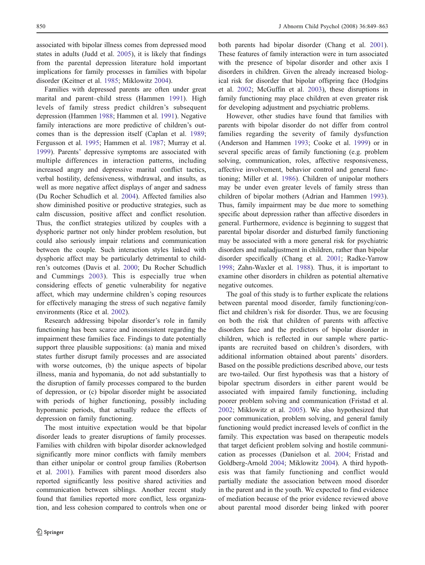associated with bipolar illness comes from depressed mood states in adults (Judd et al. [2005](#page-13-0)), it is likely that findings from the parental depression literature hold important implications for family processes in families with bipolar disorder (Keitner et al. [1985;](#page-13-0) Miklowitz [2004](#page-13-0)).

Families with depressed parents are often under great marital and parent–child stress (Hammen [1991](#page-13-0)). High levels of family stress predict children's subsequent depression (Hammen [1988](#page-13-0); Hammen et al. [1991\)](#page-13-0). Negative family interactions are more predictive of children's outcomes than is the depression itself (Caplan et al. [1989](#page-12-0); Fergusson et al. [1995](#page-12-0); Hammen et al. [1987](#page-13-0); Murray et al. [1999](#page-13-0)). Parents' depressive symptoms are associated with multiple differences in interaction patterns, including increased angry and depressive marital conflict tactics, verbal hostility, defensiveness, withdrawal, and insults, as well as more negative affect displays of anger and sadness (Du Rocher Schudlich et al. [2004](#page-12-0)). Affected families also show diminished positive or productive strategies, such as calm discussion, positive affect and conflict resolution. Thus, the conflict strategies utilized by couples with a dysphoric partner not only hinder problem resolution, but could also seriously impair relations and communication between the couple. Such interaction styles linked with dysphoric affect may be particularly detrimental to children's outcomes (Davis et al. [2000;](#page-12-0) Du Rocher Schudlich and Cummings [2003](#page-12-0)). This is especially true when considering effects of genetic vulnerability for negative affect, which may undermine children's coping resources for effectively managing the stress of such negative family environments (Rice et al. [2002\)](#page-14-0).

Research addressing bipolar disorder's role in family functioning has been scarce and inconsistent regarding the impairment these families face. Findings to date potentially support three plausible suppositions: (a) mania and mixed states further disrupt family processes and are associated with worse outcomes, (b) the unique aspects of bipolar illness, mania and hypomania, do not add substantially to the disruption of family processes compared to the burden of depression, or (c) bipolar disorder might be associated with periods of higher functioning, possibly including hypomanic periods, that actually reduce the effects of depression on family functioning.

The most intuitive expectation would be that bipolar disorder leads to greater disruptions of family processes. Families with children with bipolar disorder acknowledged significantly more minor conflicts with family members than either unipolar or control group families (Robertson et al. [2001\)](#page-14-0). Families with parent mood disorders also reported significantly less positive shared activities and communication between siblings. Another recent study found that families reported more conflict, less organization, and less cohesion compared to controls when one or both parents had bipolar disorder (Chang et al. [2001\)](#page-12-0). These features of family interaction were in turn associated with the presence of bipolar disorder and other axis I disorders in children. Given the already increased biological risk for disorder that bipolar offspring face (Hodgins et al. [2002;](#page-13-0) McGuffin et al. [2003\)](#page-13-0), these disruptions in family functioning may place children at even greater risk for developing adjustment and psychiatric problems.

However, other studies have found that families with parents with bipolar disorder do not differ from control families regarding the severity of family dysfunction (Anderson and Hammen [1993](#page-12-0); Cooke et al. [1999\)](#page-12-0) or in several specific areas of family functioning (e.g. problem solving, communication, roles, affective responsiveness, affective involvement, behavior control and general functioning; Miller et al. [1986\)](#page-13-0). Children of unipolar mothers may be under even greater levels of family stress than children of bipolar mothers (Adrian and Hammen [1993\)](#page-12-0). Thus, family impairment may be due more to something specific about depression rather than affective disorders in general. Furthermore, evidence is beginning to suggest that parental bipolar disorder and disturbed family functioning may be associated with a more general risk for psychiatric disorders and maladjustment in children, rather than bipolar disorder specifically (Chang et al. [2001](#page-12-0); Radke-Yarrow [1998](#page-14-0); Zahn-Waxler et al. [1988](#page-14-0)). Thus, it is important to examine other disorders in children as potential alternative negative outcomes.

The goal of this study is to further explicate the relations between parental mood disorder, family functioning/conflict and children's risk for disorder. Thus, we are focusing on both the risk that children of parents with affective disorders face and the predictors of bipolar disorder in children, which is reflected in our sample where participants are recruited based on children's disorders, with additional information obtained about parents' disorders. Based on the possible predictions described above, our tests are two-tailed. Our first hypothesis was that a history of bipolar spectrum disorders in either parent would be associated with impaired family functioning, including poorer problem solving and communication (Fristad et al. [2002](#page-13-0); Miklowitz et al. [2005\)](#page-13-0). We also hypothesized that poor communication, problem solving, and general family functioning would predict increased levels of conflict in the family. This expectation was based on therapeutic models that target deficient problem solving and hostile communication as processes (Danielson et al. [2004](#page-12-0); Fristad and Goldberg-Arnold [2004;](#page-13-0) Miklowitz [2004](#page-13-0)). A third hypothesis was that family functioning and conflict would partially mediate the association between mood disorder in the parent and in the youth. We expected to find evidence of mediation because of the prior evidence reviewed above about parental mood disorder being linked with poorer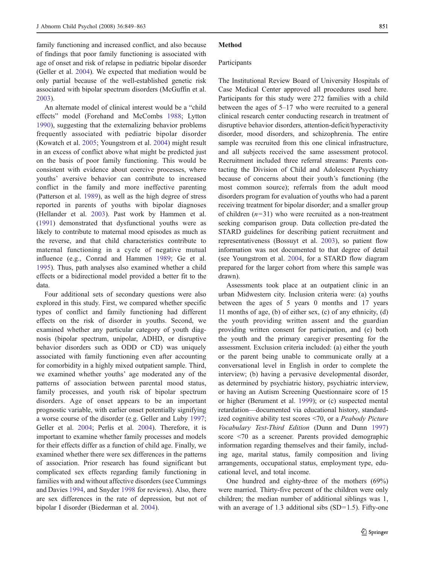family functioning and increased conflict, and also because of findings that poor family functioning is associated with age of onset and risk of relapse in pediatric bipolar disorder (Geller et al. [2004\)](#page-13-0). We expected that mediation would be only partial because of the well-established genetic risk associated with bipolar spectrum disorders (McGuffin et al. [2003](#page-13-0)).

An alternate model of clinical interest would be a "child effects" model (Forehand and McCombs [1988](#page-12-0); Lytton [1990](#page-13-0)), suggesting that the externalizing behavior problems frequently associated with pediatric bipolar disorder (Kowatch et al. [2005](#page-13-0); Youngstrom et al. [2004](#page-14-0)) might result in an excess of conflict above what might be predicted just on the basis of poor family functioning. This would be consistent with evidence about coercive processes, where youths' aversive behavior can contribute to increased conflict in the family and more ineffective parenting (Patterson et al. [1989\)](#page-14-0), as well as the high degree of stress reported in parents of youths with bipolar diagnoses (Hellander et al. [2003\)](#page-13-0). Past work by Hammen et al. [\(1991](#page-13-0)) demonstrated that dysfunctional youths were as likely to contribute to maternal mood episodes as much as the reverse, and that child characteristics contribute to maternal functioning in a cycle of negative mutual influence (e.g., Conrad and Hammen [1989](#page-12-0); Ge et al. [1995](#page-13-0)). Thus, path analyses also examined whether a child effects or a bidirectional model provided a better fit to the data.

Four additional sets of secondary questions were also explored in this study. First, we compared whether specific types of conflict and family functioning had different effects on the risk of disorder in youths. Second, we examined whether any particular category of youth diagnosis (bipolar spectrum, unipolar, ADHD, or disruptive behavior disorders such as ODD or CD) was uniquely associated with family functioning even after accounting for comorbidity in a highly mixed outpatient sample. Third, we examined whether youths' age moderated any of the patterns of association between parental mood status, family processes, and youth risk of bipolar spectrum disorders. Age of onset appears to be an important prognostic variable, with earlier onset potentially signifying a worse course of the disorder (e.g. Geller and Luby [1997](#page-13-0); Geller et al. [2004](#page-13-0); Perlis et al. [2004](#page-14-0)). Therefore, it is important to examine whether family processes and models for their effects differ as a function of child age. Finally, we examined whether there were sex differences in the patterns of association. Prior research has found significant but complicated sex effects regarding family functioning in families with and without affective disorders (see Cummings and Davies [1994,](#page-12-0) and Snyder [1998](#page-14-0) for reviews). Also, there are sex differences in the rate of depression, but not of bipolar I disorder (Biederman et al. [2004\)](#page-12-0).

#### Method

#### Participants

The Institutional Review Board of University Hospitals of Case Medical Center approved all procedures used here. Participants for this study were 272 families with a child between the ages of 5–17 who were recruited to a general clinical research center conducting research in treatment of disruptive behavior disorders, attention-deficit/hyperactivity disorder, mood disorders, and schizophrenia. The entire sample was recruited from this one clinical infrastructure, and all subjects received the same assessment protocol. Recruitment included three referral streams: Parents contacting the Division of Child and Adolescent Psychiatry because of concerns about their youth's functioning (the most common source); referrals from the adult mood disorders program for evaluation of youths who had a parent receiving treatment for bipolar disorder; and a smaller group of children  $(n=31)$  who were recruited as a non-treatment seeking comparison group. Data collection pre-dated the STARD guidelines for describing patient recruitment and representativeness (Bossuyt et al. [2003](#page-12-0)), so patient flow information was not documented to that degree of detail (see Youngstrom et al. [2004](#page-14-0), for a STARD flow diagram prepared for the larger cohort from where this sample was drawn).

Assessments took place at an outpatient clinic in an urban Midwestern city. Inclusion criteria were: (a) youths between the ages of 5 years 0 months and 17 years 11 months of age, (b) of either sex, (c) of any ethnicity, (d) the youth providing written assent and the guardian providing written consent for participation, and (e) both the youth and the primary caregiver presenting for the assessment. Exclusion criteria included: (a) either the youth or the parent being unable to communicate orally at a conversational level in English in order to complete the interview; (b) having a pervasive developmental disorder, as determined by psychiatric history, psychiatric interview, or having an Autism Screening Questionnaire score of 15 or higher (Berument et al. [1999](#page-12-0)); or (c) suspected mental retardation—documented via educational history, standardized cognitive ability test scores <70, or a Peabody Picture Vocabulary Test-Third Edition (Dunn and Dunn [1997](#page-12-0)) score <70 as a screener. Parents provided demographic information regarding themselves and their family, including age, marital status, family composition and living arrangements, occupational status, employment type, educational level, and total income.

One hundred and eighty-three of the mothers (69%) were married. Thirty-five percent of the children were only children; the median number of additional siblings was 1, with an average of 1.3 additional sibs  $(SD=1.5)$ . Fifty-one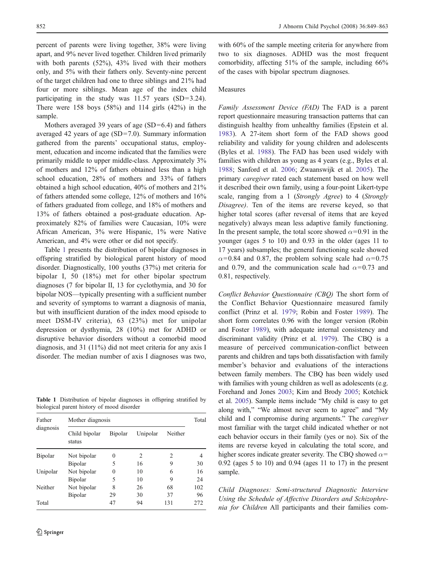<span id="page-3-0"></span>percent of parents were living together, 38% were living apart, and 9% never lived together. Children lived primarily with both parents (52%), 43% lived with their mothers only, and 5% with their fathers only. Seventy-nine percent of the target children had one to three siblings and 21% had four or more siblings. Mean age of the index child participating in the study was 11.57 years (SD=3.24). There were  $158$  boys  $(58%)$  and  $114$  girls  $(42%)$  in the sample.

Mothers averaged 39 years of age (SD=6.4) and fathers averaged 42 years of age (SD=7.0). Summary information gathered from the parents' occupational status, employment, education and income indicated that the families were primarily middle to upper middle-class. Approximately 3% of mothers and 12% of fathers obtained less than a high school education, 28% of mothers and 33% of fathers obtained a high school education, 40% of mothers and 21% of fathers attended some college, 12% of mothers and 16% of fathers graduated from college, and 18% of mothers and 13% of fathers obtained a post-graduate education. Approximately 82% of families were Caucasian, 10% were African American, 3% were Hispanic, 1% were Native American, and 4% were other or did not specify.

Table 1 presents the distribution of bipolar diagnoses in offspring stratified by biological parent history of mood disorder. Diagnostically, 100 youths (37%) met criteria for bipolar I, 50 (18%) met for other bipolar spectrum diagnoses (7 for bipolar II, 13 for cyclothymia, and 30 for bipolar NOS—typically presenting with a sufficient number and severity of symptoms to warrant a diagnosis of mania, but with insufficient duration of the index mood episode to meet DSM-IV criteria), 63 (23%) met for unipolar depression or dysthymia, 28 (10%) met for ADHD or disruptive behavior disorders without a comorbid mood diagnosis, and 31 (11%) did not meet criteria for any axis I disorder. The median number of axis I diagnoses was two,

Table 1 Distribution of bipolar diagnoses in offspring stratified by biological parent history of mood disorder

| Father<br>diagnosis | Mother diagnosis        |         |          |         |     |  |  |  |
|---------------------|-------------------------|---------|----------|---------|-----|--|--|--|
|                     | Child bipolar<br>status | Bipolar | Unipolar | Neither |     |  |  |  |
| Bipolar             | Not bipolar             | 0       | 2        | 2       | 4   |  |  |  |
|                     | Bipolar                 | 5       | 16       | 9       | 30  |  |  |  |
| Unipolar            | Not bipolar             | 0       | 10       | 6       | 16  |  |  |  |
|                     | Bipolar                 | 5       | 10       | 9       | 24  |  |  |  |
| Neither             | Not bipolar             | 8       | 26       | 68      | 102 |  |  |  |
|                     | Bipolar                 | 29      | 30       | 37      | 96  |  |  |  |
| Total               |                         | 47      | 94       | 131     | 272 |  |  |  |

with 60% of the sample meeting criteria for anywhere from two to six diagnoses. ADHD was the most frequent comorbidity, affecting 51% of the sample, including 66% of the cases with bipolar spectrum diagnoses.

### Measures

Family Assessment Device (FAD) The FAD is a parent report questionnaire measuring transaction patterns that can distinguish healthy from unhealthy families (Epstein et al. [1983](#page-12-0)). A 27-item short form of the FAD shows good reliability and validity for young children and adolescents (Byles et al. [1988\)](#page-12-0). The FAD has been used widely with families with children as young as 4 years (e.g., Byles et al. [1988](#page-12-0); Sanford et al. [2006;](#page-14-0) Zwaanswijk et al. [2005\)](#page-14-0). The primary caregiver rated each statement based on how well it described their own family, using a four-point Likert-type scale, ranging from a 1 (Strongly Agree) to 4 (Strongly Disagree). Ten of the items are reverse keyed, so that higher total scores (after reversal of items that are keyed negatively) always mean less adaptive family functioning. In the present sample, the total score showed  $\alpha$ =0.91 in the younger (ages 5 to 10) and 0.93 in the older (ages 11 to 17 years) subsamples; the general functioning scale showed  $\alpha$ =0.84 and 0.87, the problem solving scale had  $\alpha$ =0.75 and 0.79, and the communication scale had  $\alpha$ =0.73 and 0.81, respectively.

Conflict Behavior Questionnaire (CBQ) The short form of the Conflict Behavior Questionnaire measured family conflict (Prinz et al. [1979;](#page-14-0) Robin and Foster [1989\)](#page-14-0). The short form correlates 0.96 with the longer version (Robin and Foster [1989\)](#page-14-0), with adequate internal consistency and discriminant validity (Prinz et al. [1979](#page-14-0)). The CBQ is a measure of perceived communication-conflict between parents and children and taps both dissatisfaction with family member's behavior and evaluations of the interactions between family members. The CBQ has been widely used with families with young children as well as adolescents (e.g. Forehand and Jones [2003](#page-12-0); Kim and Brody [2005](#page-13-0); Kotchick et al. [2005\)](#page-13-0). Sample items include "My child is easy to get along with," "We almost never seem to agree" and "My child and I compromise during arguments." The caregiver most familiar with the target child indicated whether or not each behavior occurs in their family (yes or no). Six of the items are reverse keyed in calculating the total score, and higher scores indicate greater severity. The CBQ showed  $\alpha$ = 0.92 (ages 5 to 10) and 0.94 (ages 11 to 17) in the present sample.

Child Diagnoses: Semi-structured Diagnostic Interview Using the Schedule of Affective Disorders and Schizophrenia for Children All participants and their families com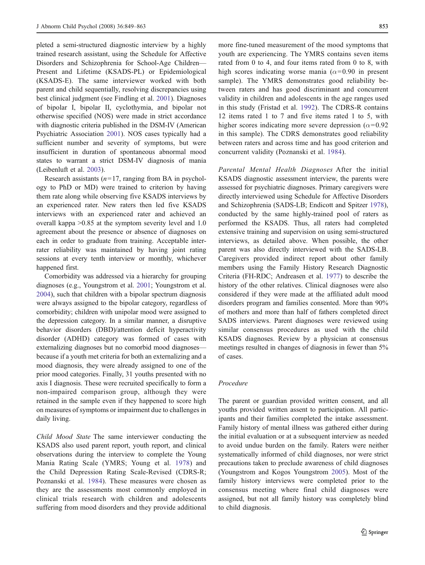pleted a semi-structured diagnostic interview by a highly trained research assistant, using the Schedule for Affective Disorders and Schizophrenia for School-Age Children— Present and Lifetime (KSADS-PL) or Epidemiological (KSADS-E). The same interviewer worked with both parent and child sequentially, resolving discrepancies using best clinical judgment (see Findling et al. [2001](#page-12-0)). Diagnoses of bipolar I, bipolar II, cyclothymia, and bipolar not otherwise specified (NOS) were made in strict accordance with diagnostic criteria published in the DSM-IV (American Psychiatric Association [2001](#page-12-0)). NOS cases typically had a sufficient number and severity of symptoms, but were insufficient in duration of spontaneous abnormal mood states to warrant a strict DSM-IV diagnosis of mania (Leibenluft et al. [2003\)](#page-13-0).

Research assistants ( $n=17$ , ranging from BA in psychology to PhD or MD) were trained to criterion by having them rate along while observing five KSADS interviews by an experienced rater. New raters then led five KSADS interviews with an experienced rater and achieved an overall kappa >0.85 at the symptom severity level and 1.0 agreement about the presence or absence of diagnoses on each in order to graduate from training. Acceptable interrater reliability was maintained by having joint rating sessions at every tenth interview or monthly, whichever happened first.

Comorbidity was addressed via a hierarchy for grouping diagnoses (e.g., Youngstrom et al. [2001](#page-14-0); Youngstrom et al. [2004](#page-14-0)), such that children with a bipolar spectrum diagnosis were always assigned to the bipolar category, regardless of comorbidity; children with unipolar mood were assigned to the depression category. In a similar manner, a disruptive behavior disorders (DBD)/attention deficit hyperactivity disorder (ADHD) category was formed of cases with externalizing diagnoses but no comorbid mood diagnoses because if a youth met criteria for both an externalizing and a mood diagnosis, they were already assigned to one of the prior mood categories. Finally, 31 youths presented with no axis I diagnosis. These were recruited specifically to form a non-impaired comparison group, although they were retained in the sample even if they happened to score high on measures of symptoms or impairment due to challenges in daily living.

Child Mood State The same interviewer conducting the KSADS also used parent report, youth report, and clinical observations during the interview to complete the Young Mania Rating Scale (YMRS; Young et al. [1978](#page-14-0)) and the Child Depression Rating Scale-Revised (CDRS-R; Poznanski et al. [1984](#page-14-0)). These measures were chosen as they are the assessments most commonly employed in clinical trials research with children and adolescents suffering from mood disorders and they provide additional

more fine-tuned measurement of the mood symptoms that youth are experiencing. The YMRS contains seven items rated from 0 to 4, and four items rated from 0 to 8, with high scores indicating worse mania ( $\alpha$ =0.90 in present sample). The YMRS demonstrates good reliability between raters and has good discriminant and concurrent validity in children and adolescents in the age ranges used in this study (Fristad et al. [1992\)](#page-13-0). The CDRS-R contains 12 items rated 1 to 7 and five items rated 1 to 5, with higher scores indicating more severe depression ( $\alpha$ =0.92 in this sample). The CDRS demonstrates good reliability between raters and across time and has good criterion and concurrent validity (Poznanski et al. [1984](#page-14-0)).

Parental Mental Health Diagnoses After the initial KSADS diagnostic assessment interview, the parents were assessed for psychiatric diagnoses. Primary caregivers were directly interviewed using Schedule for Affective Disorders and Schizophrenia (SADS-LB; Endicott and Spitzer [1978\)](#page-12-0), conducted by the same highly-trained pool of raters as performed the KSADS. Thus, all raters had completed extensive training and supervision on using semi-structured interviews, as detailed above. When possible, the other parent was also directly interviewed with the SADS-LB. Caregivers provided indirect report about other family members using the Family History Research Diagnostic Criteria (FH-RDC; Andreasen et al. [1977\)](#page-12-0) to describe the history of the other relatives. Clinical diagnoses were also considered if they were made at the affiliated adult mood disorders program and families consented. More than 90% of mothers and more than half of fathers completed direct SADS interviews. Parent diagnoses were reviewed using similar consensus procedures as used with the child KSADS diagnoses. Review by a physician at consensus meetings resulted in changes of diagnosis in fewer than 5% of cases.

#### Procedure

The parent or guardian provided written consent, and all youths provided written assent to participation. All participants and their families completed the intake assessment. Family history of mental illness was gathered either during the initial evaluation or at a subsequent interview as needed to avoid undue burden on the family. Raters were neither systematically informed of child diagnoses, nor were strict precautions taken to preclude awareness of child diagnoses (Youngstrom and Kogos Youngstrom [2005\)](#page-14-0). Most of the family history interviews were completed prior to the consensus meeting where final child diagnoses were assigned, but not all family history was completely blind to child diagnosis.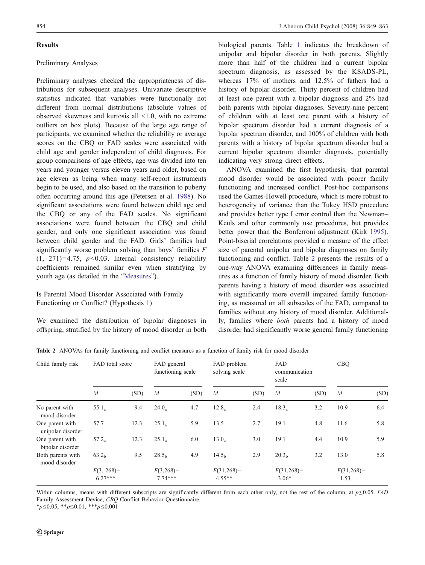#### Results

#### Preliminary Analyses

Preliminary analyses checked the appropriateness of distributions for subsequent analyses. Univariate descriptive statistics indicated that variables were functionally not different from normal distributions (absolute values of observed skewness and kurtosis all <1.0, with no extreme outliers on box plots). Because of the large age range of participants, we examined whether the reliability or average scores on the CBQ or FAD scales were associated with child age and gender independent of child diagnosis. For group comparisons of age effects, age was divided into ten years and younger versus eleven years and older, based on age eleven as being when many self-report instruments begin to be used, and also based on the transition to puberty often occurring around this age (Petersen et al. [1988\)](#page-14-0). No significant associations were found between child age and the CBQ or any of the FAD scales. No significant associations were found between the CBQ and child gender, and only one significant association was found between child gender and the FAD: Girls' families had significantly worse problem solving than boys' families  $F$  $(1, 271)=4.75$ ,  $p<0.03$ . Internal consistency reliability coefficients remained similar even when stratifying by youth age (as detailed in the "[Measures](#page-3-0)").

## Is Parental Mood Disorder Associated with Family Functioning or Conflict? (Hypothesis 1)

We examined the distribution of bipolar diagnoses in offspring, stratified by the history of mood disorder in both

biological parents. Table [1](#page-3-0) indicates the breakdown of unipolar and bipolar disorder in both parents. Slightly more than half of the children had a current bipolar spectrum diagnosis, as assessed by the KSADS-PL, whereas 17% of mothers and 12.5% of fathers had a history of bipolar disorder. Thirty percent of children had at least one parent with a bipolar diagnosis and 2% had both parents with bipolar diagnoses. Seventy-nine percent of children with at least one parent with a history of bipolar spectrum disorder had a current diagnosis of a bipolar spectrum disorder, and 100% of children with both parents with a history of bipolar spectrum disorder had a current bipolar spectrum disorder diagnosis, potentially indicating very strong direct effects.

ANOVA examined the first hypothesis, that parental mood disorder would be associated with poorer family functioning and increased conflict. Post-hoc comparisons used the Games-Howell procedure, which is more robust to heterogeneity of variance than the Tukey HSD procedure and provides better type I error control than the Newman– Keuls and other commonly use procedures, but provides better power than the Bonferroni adjustment (Kirk [1995\)](#page-13-0). Point-biserial correlations provided a measure of the effect size of parental unipolar and bipolar diagnoses on family functioning and conflict. Table 2 presents the results of a one-way ANOVA examining differences in family measures as a function of family history of mood disorder. Both parents having a history of mood disorder was associated with significantly more overall impaired family functioning, as measured on all subscales of the FAD, compared to families without any history of mood disorder. Additionally, families where both parents had a history of mood disorder had significantly worse general family functioning

| Child family risk                    | FAD total score            |      | FAD general<br>functioning scale |      | FAD problem<br>solving scale |      | FAD<br>communication<br>scale |      | <b>CBQ</b>            |      |
|--------------------------------------|----------------------------|------|----------------------------------|------|------------------------------|------|-------------------------------|------|-----------------------|------|
|                                      | $\overline{M}$             | (SD) | $\boldsymbol{M}$                 | (SD) | $\overline{M}$               | (SD) | $\overline{M}$                | (SD) | $\boldsymbol{M}$      | (SD) |
| No parent with<br>mood disorder      | $55.1_a$                   | 9.4  | $24.0_a$                         | 4.7  | $12.8_a$                     | 2.4  | $18.3_a$                      | 3.2  | 10.9                  | 6.4  |
| One parent with<br>unipolar disorder | 57.7                       | 12.3 | $25.1_a$                         | 5.9  | 13.5                         | 2.7  | 19.1                          | 4.8  | 11.6                  | 5.8  |
| One parent with<br>bipolar disorder  | $57.2_a$                   | 12.3 | $25.1_a$                         | 6.0  | $13.0_a$                     | 3.0  | 19.1                          | 4.4  | 10.9                  | 5.9  |
| Both parents with<br>mood disorder   | 63.2 <sub>h</sub>          | 9.5  | 28.5 <sub>h</sub>                | 4.9  | 14.5 <sub>b</sub>            | 2.9  | 20.3 <sub>h</sub>             | 3.2  | 13.0                  | 5.8  |
|                                      | $F(3, 268)$ =<br>$6.27***$ |      | $F(3,268)$ =<br>$7.74***$        |      | $F(31,268)=$<br>$4.55**$     |      | $F(31,268)$ =<br>$3.06*$      |      | $F(31,268)$ =<br>1.53 |      |

Table 2 ANOVAs for family functioning and conflict measures as a function of family risk for mood disorder

Within columns, means with different subscripts are significantly different from each other only, not the rest of the column, at  $p \le 0.05$ . FAD Family Assessment Device, CBQ Conflict Behavior Questionnaire.  $*_{p \leq 0.05, *_{p \leq 0.01, *_{p \leq 0.001}}$ 

 $\mathcal{D}$  Springer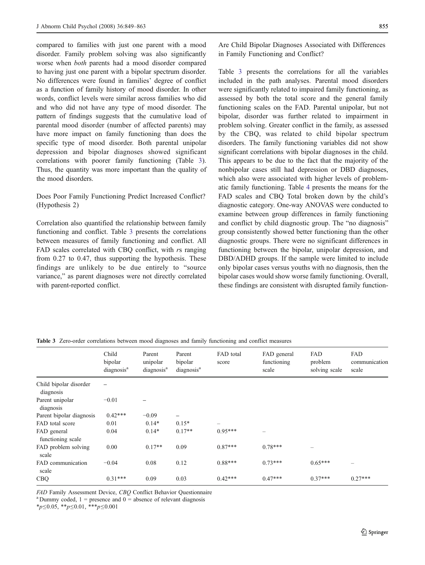<span id="page-6-0"></span>compared to families with just one parent with a mood disorder. Family problem solving was also significantly worse when both parents had a mood disorder compared to having just one parent with a bipolar spectrum disorder. No differences were found in families' degree of conflict as a function of family history of mood disorder. In other words, conflict levels were similar across families who did and who did not have any type of mood disorder. The pattern of findings suggests that the cumulative load of parental mood disorder (number of affected parents) may have more impact on family functioning than does the specific type of mood disorder. Both parental unipolar depression and bipolar diagnoses showed significant correlations with poorer family functioning (Table 3). Thus, the quantity was more important than the quality of the mood disorders.

Does Poor Family Functioning Predict Increased Conflict? (Hypothesis 2)

Correlation also quantified the relationship between family functioning and conflict. Table 3 presents the correlations between measures of family functioning and conflict. All FAD scales correlated with CBQ conflict, with rs ranging from 0.27 to 0.47, thus supporting the hypothesis. These findings are unlikely to be due entirely to "source variance," as parent diagnoses were not directly correlated with parent-reported conflict.

Are Child Bipolar Diagnoses Associated with Differences in Family Functioning and Conflict?

Table 3 presents the correlations for all the variables included in the path analyses. Parental mood disorders were significantly related to impaired family functioning, as assessed by both the total score and the general family functioning scales on the FAD. Parental unipolar, but not bipolar, disorder was further related to impairment in problem solving. Greater conflict in the family, as assessed by the CBQ, was related to child bipolar spectrum disorders. The family functioning variables did not show significant correlations with bipolar diagnoses in the child. This appears to be due to the fact that the majority of the nonbipolar cases still had depression or DBD diagnoses, which also were associated with higher levels of problematic family functioning. Table [4](#page-7-0) presents the means for the FAD scales and CBQ Total broken down by the child's diagnostic category. One-way ANOVAS were conducted to examine between group differences in family functioning and conflict by child diagnostic group. The "no diagnosis" group consistently showed better functioning than the other diagnostic groups. There were no significant differences in functioning between the bipolar, unipolar depression, and DBD/ADHD groups. If the sample were limited to include only bipolar cases versus youths with no diagnosis, then the bipolar cases would show worse family functioning. Overall, these findings are consistent with disrupted family function-

|  |  | Table 3 Zero-order correlations between mood diagnoses and family functioning and conflict measures |  |  |  |  |  |  |  |  |  |
|--|--|-----------------------------------------------------------------------------------------------------|--|--|--|--|--|--|--|--|--|
|--|--|-----------------------------------------------------------------------------------------------------|--|--|--|--|--|--|--|--|--|

|                                     | Child<br>bipolar<br>diagnosis <sup>a</sup> | Parent<br>unipolar<br>diagnosis <sup>a</sup> | Parent<br>bipolar<br>diagnosis <sup>a</sup> | FAD total<br>score | FAD general<br>functioning<br>scale | FAD<br>problem<br>solving scale | FAD<br>communication<br>scale |
|-------------------------------------|--------------------------------------------|----------------------------------------------|---------------------------------------------|--------------------|-------------------------------------|---------------------------------|-------------------------------|
| Child bipolar disorder<br>diagnosis | $\overline{\phantom{m}}$                   |                                              |                                             |                    |                                     |                                 |                               |
| Parent unipolar<br>diagnosis        | $-0.01$                                    |                                              |                                             |                    |                                     |                                 |                               |
| Parent bipolar diagnosis            | $0.42***$                                  | $-0.09$                                      |                                             |                    |                                     |                                 |                               |
| FAD total score                     | 0.01                                       | $0.14*$                                      | $0.15*$                                     |                    |                                     |                                 |                               |
| FAD general<br>functioning scale    | 0.04                                       | $0.14*$                                      | $0.17**$                                    | $0.95***$          |                                     |                                 |                               |
| FAD problem solving<br>scale        | 0.00                                       | $0.17**$                                     | 0.09                                        | $0.87***$          | $0.78***$                           | $\equiv$                        |                               |
| FAD communication<br>scale          | $-0.04$                                    | 0.08                                         | 0.12                                        | $0.88***$          | $0.73***$                           | $0.65***$                       | $\overline{\phantom{0}}$      |
| <b>CBQ</b>                          | $0.31***$                                  | 0.09                                         | 0.03                                        | $0.42***$          | $0.47***$                           | $0.37***$                       | $0.27***$                     |

FAD Family Assessment Device, CBQ Conflict Behavior Questionnaire <sup>a</sup> Dummy coded, 1 = presence and 0 = absence of relevant diagnosis

 $*_{p \leq 0.05, *_{p \leq 0.01, *_{p \leq 0.001}}$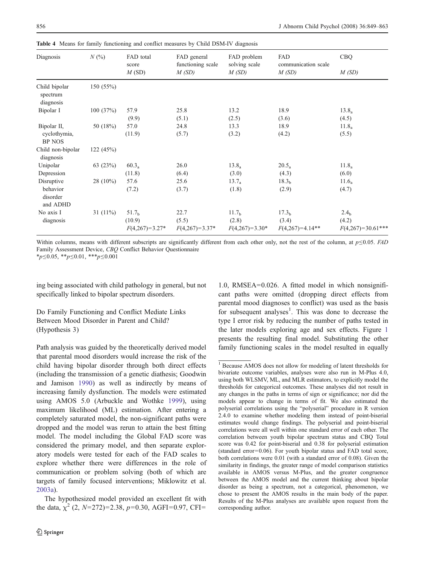| Diagnosis                              | N(%)        | FAD total<br>score         | FAD general<br>functioning scale | FAD problem<br>solving scale | FAD<br>communication scale | <b>CBQ</b>                   |  |
|----------------------------------------|-------------|----------------------------|----------------------------------|------------------------------|----------------------------|------------------------------|--|
|                                        |             | M(SD)                      | M(SD)                            | M(SD)                        | M(SD)                      | M(SD)                        |  |
| Child bipolar<br>spectrum<br>diagnosis | 150 (55%)   |                            |                                  |                              |                            |                              |  |
| Bipolar I                              | 100 (37%)   | 57.9                       | 25.8                             | 13.2                         | 18.9                       | $13.8_a$                     |  |
|                                        |             | (9.9)                      | (5.1)                            | (2.5)                        | (3.6)                      | (4.5)                        |  |
| Bipolar II,                            | 50 (18%)    | 57.0                       | 24.8                             | 13.3                         | 18.9                       | $11.8_a$                     |  |
| cyclothymia,<br><b>BP NOS</b>          |             | (11.9)                     | (5.7)                            | (3.2)                        | (4.2)                      | (5.5)                        |  |
| Child non-bipolar<br>diagnosis         | 122(45%)    |                            |                                  |                              |                            |                              |  |
| Unipolar                               | 63 $(23%)$  | $60.3_a$                   | 26.0                             | $13.8_a$                     | $20.5_a$                   | $11.8_a$                     |  |
| Depression                             |             | (11.8)                     | (6.4)                            | (3.0)                        | (4.3)                      | (6.0)                        |  |
| Disruptive                             | 28 (10%)    | 57.6                       | 25.6                             | $13.7_a$                     | 18.3 <sub>b</sub>          | $11.6_a$                     |  |
| behavior<br>disorder<br>and ADHD       |             | (7.2)                      | (3.7)                            | (1.8)                        | (2.9)                      | (4.7)                        |  |
| No axis I                              | 31 $(11\%)$ | 51.7 <sub>h</sub>          | 22.7                             | 11.7 <sub>b</sub>            | 17.3 <sub>b</sub>          | 2.4 <sub>b</sub>             |  |
| diagnosis                              |             | (10.9)<br>$F(4,267)=3.27*$ | (5.5)<br>$F(4,267)=3.37*$        | (2.8)<br>$F(4,267)=3.30*$    | (3.4)<br>$F(4,267)=4.14**$ | (4.2)<br>$F(4,267)=30.61***$ |  |

<span id="page-7-0"></span>Table 4 Means for family functioning and conflict measures by Child DSM-IV diagnosis

Within columns, means with different subscripts are significantly different from each other only, not the rest of the column, at  $p \le 0.05$ . FAD Family Assessment Device, CBQ Conflict Behavior Questionnaire

\*p≤0.05, \*\*p≤0.01, \*\*\*p≤0.001

ing being associated with child pathology in general, but not specifically linked to bipolar spectrum disorders.

Do Family Functioning and Conflict Mediate Links Between Mood Disorder in Parent and Child? (Hypothesis 3)

Path analysis was guided by the theoretically derived model that parental mood disorders would increase the risk of the child having bipolar disorder through both direct effects (including the transmission of a genetic diathesis; Goodwin and Jamison [1990\)](#page-13-0) as well as indirectly by means of increasing family dysfunction. The models were estimated using AMOS 5.0 (Arbuckle and Wothke [1999\)](#page-12-0), using maximum likelihood (ML) estimation. After entering a completely saturated model, the non-significant paths were dropped and the model was rerun to attain the best fitting model. The model including the Global FAD score was considered the primary model, and then separate exploratory models were tested for each of the FAD scales to explore whether there were differences in the role of communication or problem solving (both of which are targets of family focused interventions; Miklowitz et al. [2003a](#page-13-0)).

The hypothesized model provided an excellent fit with the data,  $\chi^2$  (2, N=272)=2.38, p=0.30, AGFI=0.97, CFI=

1.0, RMSEA=0.026. A fitted model in which nonsignificant paths were omitted (dropping direct effects from parental mood diagnoses to conflict) was used as the basis for subsequent analyses<sup>1</sup>. This was done to decrease the type I error risk by reducing the number of paths tested in the later models exploring age and sex effects. Figure [1](#page-8-0) presents the resulting final model. Substituting the other family functioning scales in the model resulted in equally

<sup>1</sup> Because AMOS does not allow for modeling of latent thresholds for bivariate outcome variables, analyses were also run in M-Plus 4.0, using both WLSMV, ML, and MLR estimators, to explicitly model the thresholds for categorical outcomes. These analyses did not result in any changes in the paths in terms of sign or significance; nor did the models appear to change in terms of fit. We also estimated the polyserial correlations using the "polyserial" procedure in R version 2.4.0 to examine whether modeling them instead of point-biserial estimates would change findings. The polyserial and point-biserial correlations were all well within one standard error of each other. The correlation between youth bipolar spectrum status and CBQ Total score was 0.42 for point-biserial and 0.38 for polyserial estimation (standard error=0.06). For youth bipolar status and FAD total score, both correlations were 0.01 (with a standard error of 0.08). Given the similarity in findings, the greater range of model comparison statistics available in AMOS versus M-Plus, and the greater congruence between the AMOS model and the current thinking about bipolar disorder as being a spectrum, not a categorical, phenomenon, we chose to present the AMOS results in the main body of the paper. Results of the M-Plus analyses are available upon request from the corresponding author.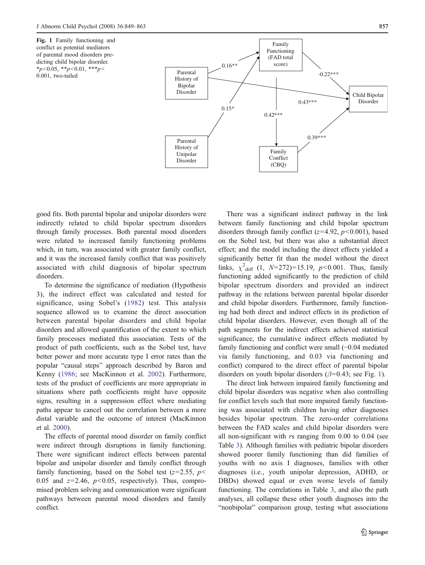<span id="page-8-0"></span>Fig. 1 Family functioning and conflict as potential mediators of parental mood disorders predicting child bipolar disorder.  $*_{p<0.05,}$   $*_{p<0.01,}$   $*_{p<0}$ 0.001, two-tailed



good fits. Both parental bipolar and unipolar disorders were indirectly related to child bipolar spectrum disorders through family processes. Both parental mood disorders were related to increased family functioning problems which, in turn, was associated with greater family conflict, and it was the increased family conflict that was positively associated with child diagnosis of bipolar spectrum disorders.

To determine the significance of mediation (Hypothesis 3), the indirect effect was calculated and tested for significance, using Sobel's ([1982\)](#page-14-0) test. This analysis sequence allowed us to examine the direct association between parental bipolar disorders and child bipolar disorders and allowed quantification of the extent to which family processes mediated this association. Tests of the product of path coefficients, such as the Sobel test, have better power and more accurate type I error rates than the popular "causal steps" approach described by Baron and Kenny [\(1986](#page-12-0); see MacKinnon et al. [2002](#page-13-0)). Furthermore, tests of the product of coefficients are more appropriate in situations where path coefficients might have opposite signs, resulting in a suppression effect where mediating paths appear to cancel out the correlation between a more distal variable and the outcome of interest (MacKinnon et al. [2000](#page-13-0)).

The effects of parental mood disorder on family conflict were indirect through disruptions in family functioning. There were significant indirect effects between parental bipolar and unipolar disorder and family conflict through family functioning, based on the Sobel test ( $z=2.55$ ,  $p<$ 0.05 and  $z=2.46$ ,  $p<0.05$ , respectively). Thus, compromised problem solving and communication were significant pathways between parental mood disorders and family conflict.

There was a significant indirect pathway in the link between family functioning and child bipolar spectrum disorders through family conflict ( $z=4.92$ ,  $p<0.001$ ), based on the Sobel test, but there was also a substantial direct effect; and the model including the direct effects yielded a significantly better fit than the model without the direct links,  $\chi^2$ <sub>diff</sub> (1, *N*=272)=15.19, *p*<0.001. Thus, family functioning added significantly to the prediction of child bipolar spectrum disorders and provided an indirect pathway in the relations between parental bipolar disorder and child bipolar disorders. Furthermore, family functioning had both direct and indirect effects in its prediction of child bipolar disorders. However, even though all of the path segments for the indirect effects achieved statistical significance, the cumulative indirect effects mediated by family functioning and conflict were small (−0.04 mediated via family functioning, and 0.03 via functioning and conflict) compared to the direct effect of parental bipolar disorders on youth bipolar disorders ( $\beta$ =0.43; see Fig. 1).

The direct link between impaired family functioning and child bipolar disorders was negative when also controlling for conflict levels such that more impaired family functioning was associated with children having other diagnoses besides bipolar spectrum. The zero-order correlations between the FAD scales and child bipolar disorders were all non-significant with rs ranging from 0.00 to 0.04 (see Table [3\)](#page-6-0). Although families with pediatric bipolar disorders showed poorer family functioning than did families of youths with no axis I diagnoses, families with other diagnoses (i.e., youth unipolar depression, ADHD, or DBDs) showed equal or even worse levels of family functioning. The correlations in Table [3](#page-6-0), and also the path analyses, all collapse these other youth diagnoses into the "nonbipolar" comparison group, testing what associations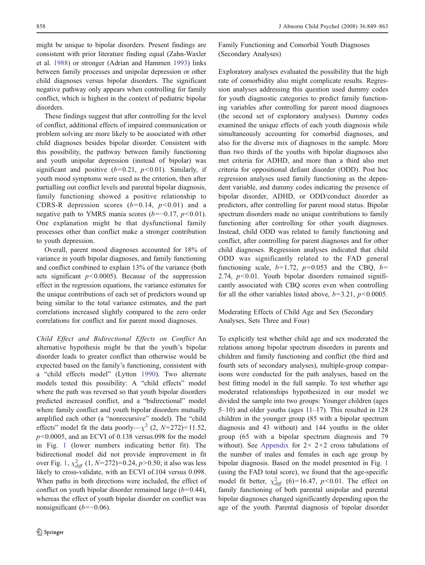might be unique to bipolar disorders. Present findings are consistent with prior literature finding equal (Zahn-Waxler et al. [1988](#page-14-0)) or stronger (Adrian and Hammen [1993\)](#page-12-0) links between family processes and unipolar depression or other child diagnoses versus bipolar disorders. The significant negative pathway only appears when controlling for family conflict, which is highest in the context of pediatric bipolar disorders.

These findings suggest that after controlling for the level of conflict, additional effects of impaired communication or problem solving are more likely to be associated with other child diagnoses besides bipolar disorder. Consistent with this possibility, the pathway between family functioning and youth unipolar depression (instead of bipolar) was significant and positive  $(b=0.21, p<0.01)$ . Similarly, if youth mood symptoms were used as the criterion, then after partialling out conflict levels and parental bipolar diagnosis, family functioning showed a positive relationship to CDRS-R depression scores  $(b=0.14, p<0.01)$  and a negative path to YMRS mania scores ( $b=-0.17$ ,  $p<0.01$ ). One explanation might be that dysfunctional family processes other than conflict make a stronger contribution to youth depression.

Overall, parent mood diagnoses accounted for 18% of variance in youth bipolar diagnoses, and family functioning and conflict combined to explain 13% of the variance (both sets significant  $p < 0.0005$ ). Because of the suppression effect in the regression equations, the variance estimates for the unique contributions of each set of predictors wound up being similar to the total variance estimates, and the part correlations increased slightly compared to the zero order correlations for conflict and for parent mood diagnoses.

Child Effect and Bidirectional Effects on Conflict An alternative hypothesis might be that the youth's bipolar disorder leads to greater conflict than otherwise would be expected based on the family's functioning, consistent with a "child effects model" (Lytton [1990](#page-13-0)). Two alternate models tested this possibility: A "child effects" model where the path was reversed so that youth bipolar disorders predicted increased conflict, and a "bidirectional" model where family conflict and youth bipolar disorders mutually amplified each other (a "nonrecursive" model). The "child effects" model fit the data poorly— $\chi^2$  (2, N=272)=11.52,  $p<0.0005$ , and an ECVI of 0.138 versus.098 for the model in Fig. [1](#page-8-0) (lower numbers indicating better fit). The bidirectional model did not provide improvement in fit over Fig. [1,](#page-8-0)  $\chi^2_{\text{diff}}$  (1, N=272)=0.24, p>0.50; it also was less likely to cross-validate, with an ECVI of.104 versus 0.098. When paths in both directions were included, the effect of conflict on youth bipolar disorder remained large  $(b=0.44)$ , whereas the effect of youth bipolar disorder on conflict was nonsignificant  $(b=-0.06)$ .

Family Functioning and Comorbid Youth Diagnoses (Secondary Analyses)

Exploratory analyses evaluated the possibility that the high rate of comorbidity also might complicate results. Regression analyses addressing this question used dummy codes for youth diagnostic categories to predict family functioning variables after controlling for parent mood diagnoses (the second set of exploratory analyses). Dummy codes examined the unique effects of each youth diagnosis while simultaneously accounting for comorbid diagnoses, and also for the diverse mix of diagnoses in the sample. More than two thirds of the youths with bipolar diagnoses also met criteria for ADHD, and more than a third also met criteria for oppositional defiant disorder (ODD). Post hoc regression analyses used family functioning as the dependent variable, and dummy codes indicating the presence of bipolar disorder, ADHD, or ODD/conduct disorder as predictors, after controlling for parent mood status. Bipolar spectrum disorders made no unique contributions to family functioning after controlling for other youth diagnoses. Instead, child ODD was related to family functioning and conflict, after controlling for parent diagnoses and for other child diagnoses. Regression analyses indicated that child ODD was significantly related to the FAD general functioning scale,  $b=1.72$ ,  $p=0.053$  and the CBQ,  $b=$ 2.74,  $p<0.01$ . Youth bipolar disorders remained significantly associated with CBQ scores even when controlling for all the other variables listed above,  $b=3.21$ ,  $p<0.0005$ .

# Moderating Effects of Child Age and Sex (Secondary Analyses, Sets Three and Four)

To explicitly test whether child age and sex moderated the relations among bipolar spectrum disorders in parents and children and family functioning and conflict (the third and fourth sets of secondary analyses), multiple-group comparisons were conducted for the path analyses, based on the best fitting model in the full sample. To test whether age moderated relationships hypothesized in our model we divided the sample into two groups: Younger children (ages 5–10) and older youths (ages 11–17). This resulted in 128 children in the younger group (85 with a bipolar spectrum diagnosis and 43 without) and 144 youths in the older group (65 with a bipolar spectrum diagnosis and 79 without). See [Appendix](#page-12-0) for  $2 \times 2 \times 2$  cross tabulations of the number of males and females in each age group by bipolar diagnosis. Based on the model presented in Fig. [1](#page-8-0) (using the FAD total score), we found that the age-specific model fit better,  $\chi^2_{\text{diff}}$  (6)=16.47, p<0.01. The effect on family functioning of both parental unipolar and parental bipolar diagnoses changed significantly depending upon the age of the youth. Parental diagnosis of bipolar disorder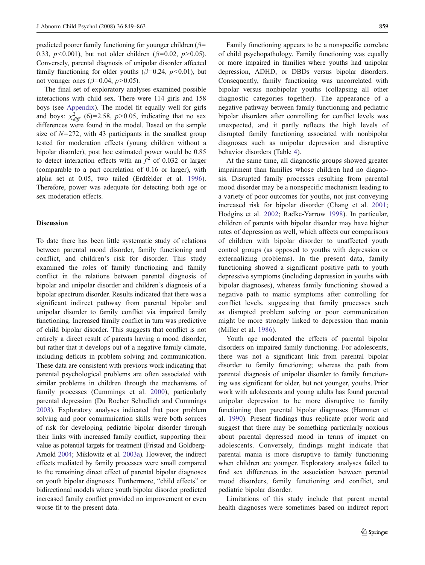predicted poorer family functioning for younger children ( $\beta$ = 0.33,  $p<0.001$ ), but not older children ( $\beta=0.02$ ,  $p>0.05$ ). Conversely, parental diagnosis of unipolar disorder affected family functioning for older youths ( $\beta$ =0.24, p<0.01), but not younger ones ( $\beta$ =0.04,  $p$ >0.05).

The final set of exploratory analyses examined possible interactions with child sex. There were 114 girls and 158 boys (see [Appendix\)](#page-12-0). The model fit equally well for girls and boys:  $\chi^2_{\text{diff}}$  (6)=2.58, p>0.05, indicating that no sex differences were found in the model. Based on the sample size of  $N=272$ , with 43 participants in the smallest group tested for moderation effects (young children without a bipolar disorder), post hoc estimated power would be 0.85 to detect interaction effects with an  $f^2$  of 0.032 or larger (comparable to a part correlation of 0.16 or larger), with alpha set at 0.05, two tailed (Erdfelder et al. [1996](#page-12-0)). Therefore, power was adequate for detecting both age or sex moderation effects.

## Discussion

To date there has been little systematic study of relations between parental mood disorder, family functioning and conflict, and children's risk for disorder. This study examined the roles of family functioning and family conflict in the relations between parental diagnosis of bipolar and unipolar disorder and children's diagnosis of a bipolar spectrum disorder. Results indicated that there was a significant indirect pathway from parental bipolar and unipolar disorder to family conflict via impaired family functioning. Increased family conflict in turn was predictive of child bipolar disorder. This suggests that conflict is not entirely a direct result of parents having a mood disorder, but rather that it develops out of a negative family climate, including deficits in problem solving and communication. These data are consistent with previous work indicating that parental psychological problems are often associated with similar problems in children through the mechanisms of family processes (Cummings et al. [2000](#page-12-0)), particularly parental depression (Du Rocher Schudlich and Cummings [2003](#page-12-0)). Exploratory analyses indicated that poor problem solving and poor communication skills were both sources of risk for developing pediatric bipolar disorder through their links with increased family conflict, supporting their value as potential targets for treatment (Fristad and Goldberg-Arnold [2004;](#page-13-0) Miklowitz et al. [2003a](#page-13-0)). However, the indirect effects mediated by family processes were small compared to the remaining direct effect of parental bipolar diagnoses on youth bipolar diagnoses. Furthermore, "child effects" or bidirectional models where youth bipolar disorder predicted increased family conflict provided no improvement or even worse fit to the present data.

Family functioning appears to be a nonspecific correlate of child psychopathology. Family functioning was equally or more impaired in families where youths had unipolar depression, ADHD, or DBDs versus bipolar disorders. Consequently, family functioning was uncorrelated with bipolar versus nonbipolar youths (collapsing all other diagnostic categories together). The appearance of a negative pathway between family functioning and pediatric bipolar disorders after controlling for conflict levels was unexpected, and it partly reflects the high levels of disrupted family functioning associated with nonbipolar diagnoses such as unipolar depression and disruptive behavior disorders (Table [4\)](#page-7-0).

At the same time, all diagnostic groups showed greater impairment than families whose children had no diagnosis. Disrupted family processes resulting from parental mood disorder may be a nonspecific mechanism leading to a variety of poor outcomes for youths, not just conveying increased risk for bipolar disorder (Chang et al. [2001;](#page-12-0) Hodgins et al. [2002](#page-13-0); Radke-Yarrow [1998\)](#page-14-0). In particular, children of parents with bipolar disorder may have higher rates of depression as well, which affects our comparisons of children with bipolar disorder to unaffected youth control groups (as opposed to youths with depression or externalizing problems). In the present data, family functioning showed a significant positive path to youth depressive symptoms (including depression in youths with bipolar diagnoses), whereas family functioning showed a negative path to manic symptoms after controlling for conflict levels, suggesting that family processes such as disrupted problem solving or poor communication might be more strongly linked to depression than mania (Miller et al. [1986\)](#page-13-0).

Youth age moderated the effects of parental bipolar disorders on impaired family functioning. For adolescents, there was not a significant link from parental bipolar disorder to family functioning; whereas the path from parental diagnosis of unipolar disorder to family functioning was significant for older, but not younger, youths. Prior work with adolescents and young adults has found parental unipolar depression to be more disruptive to family functioning than parental bipolar diagnoses (Hammen et al. [1990](#page-13-0)). Present findings thus replicate prior work and suggest that there may be something particularly noxious about parental depressed mood in terms of impact on adolescents. Conversely, findings might indicate that parental mania is more disruptive to family functioning when children are younger. Exploratory analyses failed to find sex differences in the association between parental mood disorders, family functioning and conflict, and pediatric bipolar disorder.

Limitations of this study include that parent mental health diagnoses were sometimes based on indirect report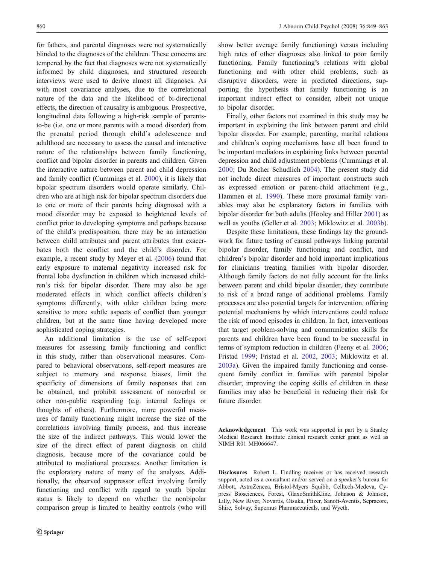for fathers, and parental diagnoses were not systematically blinded to the diagnoses of the children. These concerns are tempered by the fact that diagnoses were not systematically informed by child diagnoses, and structured research interviews were used to derive almost all diagnoses. As with most covariance analyses, due to the correlational nature of the data and the likelihood of bi-directional effects, the direction of causality is ambiguous. Prospective, longitudinal data following a high-risk sample of parentsto-be (i.e. one or more parents with a mood disorder) from the prenatal period through child's adolescence and adulthood are necessary to assess the causal and interactive nature of the relationships between family functioning, conflict and bipolar disorder in parents and children. Given the interactive nature between parent and child depression and family conflict (Cummings et al. [2000](#page-12-0)), it is likely that bipolar spectrum disorders would operate similarly. Children who are at high risk for bipolar spectrum disorders due to one or more of their parents being diagnosed with a mood disorder may be exposed to heightened levels of conflict prior to developing symptoms and perhaps because of the child's predisposition, there may be an interaction between child attributes and parent attributes that exacerbates both the conflict and the child's disorder. For example, a recent study by Meyer et al. ([2006\)](#page-13-0) found that early exposure to maternal negativity increased risk for frontal lobe dysfunction in children which increased children's risk for bipolar disorder. There may also be age moderated effects in which conflict affects children's symptoms differently, with older children being more sensitive to more subtle aspects of conflict than younger children, but at the same time having developed more sophisticated coping strategies.

An additional limitation is the use of self-report measures for assessing family functioning and conflict in this study, rather than observational measures. Compared to behavioral observations, self-report measures are subject to memory and response biases, limit the specificity of dimensions of family responses that can be obtained, and prohibit assessment of nonverbal or other non-public responding (e.g. internal feelings or thoughts of others). Furthermore, more powerful measures of family functioning might increase the size of the correlations involving family process, and thus increase the size of the indirect pathways. This would lower the size of the direct effect of parent diagnosis on child diagnosis, because more of the covariance could be attributed to mediational processes. Another limitation is the exploratory nature of many of the analyses. Additionally, the observed suppressor effect involving family functioning and conflict with regard to youth bipolar status is likely to depend on whether the nonbipolar comparison group is limited to healthy controls (who will

show better average family functioning) versus including high rates of other diagnoses also linked to poor family functioning. Family functioning's relations with global functioning and with other child problems, such as disruptive disorders, were in predicted directions, supporting the hypothesis that family functioning is an important indirect effect to consider, albeit not unique to bipolar disorder.

Finally, other factors not examined in this study may be important in explaining the link between parent and child bipolar disorder. For example, parenting, marital relations and children's coping mechanisms have all been found to be important mediators in explaining links between parental depression and child adjustment problems (Cummings et al. [2000;](#page-12-0) Du Rocher Schudlich [2004](#page-12-0)). The present study did not include direct measures of important constructs such as expressed emotion or parent-child attachment (e.g., Hammen et al. [1990](#page-13-0)). These more proximal family variables may also be explanatory factors in families with bipolar disorder for both adults (Hooley and Hiller [2001](#page-13-0)) as well as youths (Geller et al. [2003;](#page-13-0) Miklowitz et al. [2003b\)](#page-13-0).

Despite these limitations, these findings lay the groundwork for future testing of causal pathways linking parental bipolar disorder, family functioning and conflict, and children's bipolar disorder and hold important implications for clinicians treating families with bipolar disorder. Although family factors do not fully account for the links between parent and child bipolar disorder, they contribute to risk of a broad range of additional problems. Family processes are also potential targets for intervention, offering potential mechanisms by which interventions could reduce the risk of mood episodes in children. In fact, interventions that target problem-solving and communication skills for parents and children have been found to be successful in terms of symptom reduction in children (Feeny et al. [2006;](#page-12-0) Fristad [1999](#page-12-0); Fristad et al. [2002,](#page-13-0) [2003](#page-12-0); Miklowitz et al. [2003a](#page-13-0)). Given the impaired family functioning and consequent family conflict in families with parental bipolar disorder, improving the coping skills of children in these families may also be beneficial in reducing their risk for future disorder.

Acknowledgement This work was supported in part by a Stanley Medical Research Institute clinical research center grant as well as NIMH R01 MH066647.

Disclosures Robert L. Findling receives or has received research support, acted as a consultant and/or served on a speaker's bureau for Abbott, AstraZeneca, Bristol-Myers Squibb, Celltech-Medeva, Cypress Biosciences, Forest, GlaxoSmithKline, Johnson & Johnson, Lilly, New River, Novartis, Otsuka, Pfizer, Sanofi-Aventis, Sepracore, Shire, Solvay, Supernus Pharmaceuticals, and Wyeth.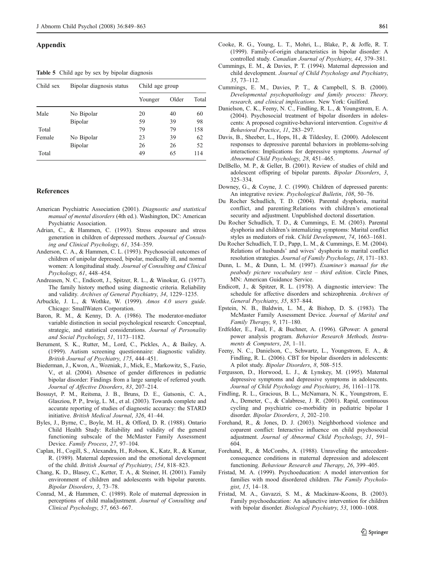#### <span id="page-12-0"></span>Appendix

Table 5 Child age by sex by bipolar diagnosis

| Child sex | Bipolar diagnosis status | Child age group |       |       |  |  |
|-----------|--------------------------|-----------------|-------|-------|--|--|
|           |                          | Younger         | Older | Total |  |  |
| Male      | No Bipolar               | 20              | 40    | 60    |  |  |
|           | Bipolar                  | 59              | 39    | 98    |  |  |
| Total     |                          | 79              | 79    | 158   |  |  |
| Female    | No Bipolar               | 23              | 39    | 62    |  |  |
|           | Bipolar                  | 26              | 26    | 52    |  |  |
| Total     |                          | 49              | 65    | 114   |  |  |

#### References

- American Psychiatric Association (2001). Diagnostic and statistical manual of mental disorders (4th ed.). Washington, DC: American Psychiatric Association.
- Adrian, C., & Hammen, C. (1993). Stress exposure and stress generation in children of depressed mothers. Journal of Consulting and Clinical Psychology, 61, 354–359.
- Anderson, C. A., & Hammen, C. L. (1993). Psychosocial outcomes of children of unipolar depressed, bipolar, medically ill, and normal women: A longitudinal study. Journal of Consulting and Clinical Psychology, 61, 448–454.
- Andreasen, N. C., Endicott, J., Spitzer, R. L., & Winokur, G. (1977). The family history method using diagnostic criteria. Reliability and validity. Archives of General Psychiatry, 34, 1229–1235.
- Arbuckle, J. L., & Wothke, W. (1999). Amos 4.0 users guide. Chicago: SmallWaters Corporation.
- Baron, R. M., & Kenny, D. A. (1986). The moderator-mediator variable distinction in social psychological research: Conceptual, strategic, and statistical considerations. Journal of Personality and Social Psychology, 51, 1173–1182.
- Berument, S. K., Rutter, M., Lord, C., Pickles, A., & Bailey, A. (1999). Autism screening questionnaire: diagnostic validity. British Journal of Psychiatry, 175, 444–451.
- Biederman, J., Kwon, A., Wozniak, J., Mick, E., Markowitz, S., Fazio, V., et al. (2004). Absence of gender differences in pediatric bipolar disorder: Findings from a large sample of referred youth. Journal of Affective Disorders, 83, 207–214.
- Bossuyt, P. M., Reitsma, J. B., Bruns, D. E., Gatsonis, C. A., Glasziou, P. P., Irwig, L. M., et al. (2003). Towards complete and accurate reporting of studies of diagnostic accuracy: the STARD initiative. British Medical Journal, 326, 41–44.
- Byles, J., Byrne, C., Boyle, M. H., & Offord, D. R. (1988). Ontario Child Health Study: Reliability and validity of the general functioning subscale of the McMaster Family Assessment Device. Family Process, 27, 97–104.
- Caplan, H., Cogill, S., Alexandra, H., Robson, K., Katz, R., & Kumar, R. (1989). Maternal depression and the emotional development of the child. British Journal of Psychiatry, 154, 818–823.
- Chang, K. D., Blasey, C., Ketter, T. A., & Steiner, H. (2001). Family environment of children and adolescents with bipolar parents. Bipolar Disorders, 3, 73–78.
- Conrad, M., & Hammen, C. (1989). Role of maternal depression in perceptions of child maladjustment. Journal of Consulting and Clinical Psychology, 57, 663–667.
- Cooke, R. G., Young, L. T., Mohri, L., Blake, P., & Joffe, R. T. (1999). Family-of-origin characteristics in bipolar disorder: A controlled study. Canadian Journal of Psychiatry, 44, 379–381.
- Cummings, E. M., & Davies, P. T. (1994). Maternal depression and child development. Journal of Child Psychology and Psychiatry, 35, 73–112.
- Cummings, E. M., Davies, P. T., & Campbell, S. B. (2000). Developmental psychopathology and family process: Theory, research, and clinical implications. New York: Guilford.
- Danielson, C. K., Feeny, N. C., Findling, R. L., & Youngstrom, E. A. (2004). Psychosocial treatment of bipolar disorders in adolescents: A proposed cognitive-behavioral intervention. Cognitive & Behavioral Practice, 11, 283–297.
- Davis, B., Sheeber, L., Hops, H., & Tildesley, E. (2000). Adolescent responses to depressive parental behaviors in problems-solving interactions: Implications for depressive symptoms. Journal of Abnormal Child Psychology, 28, 451–465.
- DelBello, M. P., & Geller, B. (2001). Review of studies of child and adolescent offspring of bipolar parents. Bipolar Disorders, 3, 325–334.
- Downey, G., & Coyne, J. C. (1990). Children of depressed parents: An integrative review. Psychological Bulletin, 108, 50–76.
- Du Rocher Schudlich, T. D. (2004). Parental dysphoria, marital conflict, and parenting:Relations with children's emotional security and adjustment. Unpublished doctoral dissertation.
- Du Rocher Schudlich, T. D., & Cummings, E. M. (2003). Parental dysphoria and children's internalizing symptoms: Marital conflict styles as mediators of risk. Child Development, 74, 1663–1681.
- Du Rocher Schudlich, T. D., Papp, L. M., & Cummings, E. M. (2004). Relations of husbands' and wives' dysphoria to marital conflict resolution strategies. Journal of Family Psychology, 18, 171–183.
- Dunn, L. M., & Dunn, L. M. (1997). Examiner's manual for the peabody picture vocabulary test – third edition. Circle Pines, MN: American Guidance Service.
- Endicott, J., & Spitzer, R. L. (1978). A diagnostic interview: The schedule for affective disorders and schizophrenia. Archives of General Psychiatry, 35, 837–844.
- Epstein, N. B., Baldwin, L. M., & Bishop, D. S. (1983). The McMaster Family Assessment Device. Journal of Marital and Family Therapy, 9, 171–180.
- Erdfelder, E., Faul, F., & Buchner, A. (1996). GPower: A general power analysis program. Behavior Research Methods, Instruments & Computers, 28, 1–11.
- Feeny, N. C., Danielson, C., Schwartz, L., Youngstrom, E. A., & Findling, R. L. (2006). CBT for bipolar disorders in adolescents: A pilot study. Bipolar Disorders, 8, 508–515.
- Fergusson, D., Horwood, L. J., & Lynskey, M. (1995). Maternal depressive symptoms and depressive symptoms in adolescents. Journal of Child Psychology and Psychiatry, 36, 1161–1178.
- Findling, R. L., Gracious, B. L., McNamara, N. K., Youngstrom, E. A., Demeter, C., & Calabrese, J. R. (2001). Rapid, continuous cycling and psychiatric co-morbidity in pediatric bipolar I disorder. Bipolar Disorders, 3, 202–210.
- Forehand, R., & Jones, D. J. (2003). Neighborhood violence and coparent conflict: Interactive influence on child psychosocial adjustment. Journal of Abnormal Child Psychology, 31, 591– 604.
- Forehand, R., & McCombs, A. (1988). Unraveling the antecedentconsequence conditions in maternal depression and adolescent functioning. Behaviour Research and Therapy, 26, 399–405.
- Fristad, M. A. (1999). Psychoeducation: A model intervention for families with mood disordered children. The Family Psychologist, 15, 14–18.
- Fristad, M. A., Gavazzi, S. M., & Mackinaw-Koons, B. (2003). Family psychoeducation: An adjunctive intervention for children with bipolar disorder. Biological Psychiatry, 53, 1000–1008.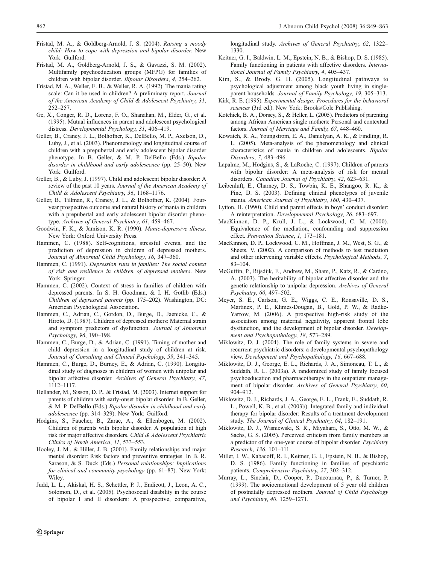- <span id="page-13-0"></span>Fristad, M. A., & Goldberg-Arnold, J. S. (2004). Raising a moody child: How to cope with depression and bipolar disorder. New York: Guilford.
- Fristad, M. A., Goldberg-Arnold, J. S., & Gavazzi, S. M. (2002). Multifamily psychoeducation groups (MFPG) for families of children with bipolar disorder. Bipolar Disorders, 4, 254–262.
- Fristad, M. A., Weller, E. B., & Weller, R. A. (1992). The mania rating scale: Can it be used in children? A preliminary report. Journal of the American Academy of Child & Adolescent Psychiatry, 31, 252–257.
- Ge, X., Conger, R. D., Lorenz, F. O., Shanahan, M., Elder, G., et al. (1995). Mutual influences in parent and adolescent psychological distress. Developmental Psychology, 31, 406–419.
- Geller, B., Craney, J. L., Bolhofner, K., DelBello, M. P., Axelson, D., Luby, J., et al. (2003). Phenomenology and longitudinal course of children with a prepubertal and early adolescent bipolar disorder phenotype. In B. Geller, & M. P. DelBello (Eds.) Bipolar disorder in childhood and early adolescence (pp. 25–50). New York: Guilford.
- Geller, B., & Luby, J. (1997). Child and adolescent bipolar disorder: A review of the past 10 years. Journal of the American Academy of Child & Adolescent Psychiatry, 36, 1168–1176.
- Geller, B., Tillman, R., Craney, J. L., & Bolhofner, K. (2004). Fouryear prospective outcome and natural history of mania in children with a prepubertal and early adolescent bipolar disorder phenotype. Archives of General Psychiatry, 61, 459–467.
- Goodwin, F. K., & Jamison, K. R. (1990). Manic-depressive illness. New York: Oxford University Press.
- Hammen, C. (1988). Self-cognitions, stressful events, and the prediction of depression in children of depressed mothers. Journal of Abnormal Child Psychology, 16, 347–360.
- Hammen, C. (1991). Depression runs in families: The social context of risk and resilience in children of depressed mothers. New York: Springer.
- Hammen, C. (2002). Context of stress in families of children with depressed parents. In S. H. Goodman, & I. H. Gotlib (Eds.) Children of depressed parents (pp. 175–202). Washington, DC: American Psychological Association.
- Hammen, C., Adrian, C., Gordon, D., Burge, D., Jaenicke, C., & Hiroto, D. (1987). Children of depressed mothers: Maternal strain and symptom predictors of dysfunction. Journal of Abnormal Psychology, 96, 190–198.
- Hammen, C., Burge, D., & Adrian, C. (1991). Timing of mother and child depression in a longitudinal study of children at risk. Journal of Consulting and Clinical Psychology, 59, 341–345.
- Hammen, C., Burge, D., Burney, E., & Adrian, C. (1990). Longitudinal study of diagnoses in children of women with unipolar and bipolar affective disorder. Archives of General Psychiatry, 47, 1112–1117.
- Hellander, M., Sisson, D. P., & Fristad, M. (2003). Internet support for parents of children with early-onset bipolar disorder. In B. Geller, & M. P. DelBello (Eds.) Bipolar disorder in childhood and early adolescence (pp. 314–329). New York: Guilford.
- Hodgins, S., Faucher, B., Zarac, A., & Ellenbogen, M. (2002). Children of parents with bipolar disorder. A population at high risk for major affective disorders. Child & Adolescent Psychiatric Clinics of North America, 11, 533–553.
- Hooley, J. M., & Hiller, J. B. (2001). Family relationships and major mental disorder: Risk factors and preventive strategies. In B. R. Sarason, & S. Duck (Eds.) Personal relationships: Implications for clinical and community psychology (pp. 61–87). New York: Wiley.
- Judd, L. L., Akiskal, H. S., Schettler, P. J., Endicott, J., Leon, A. C., Solomon, D., et al. (2005). Psychosocial disability in the course of bipolar I and II disorders: A prospective, comparative,

longitudinal study. Archives of General Psychiatry, 62, 1322– 1330.

- Keitner, G. I., Baldwin, L. M., Epstein, N. B., & Bishop, D. S. (1985). Family functioning in patients with affective disorders. International Journal of Family Psychiatry, 4, 405–437.
- Kim, S., & Brody, G. H. (2005). Longitudinal pathways to psychological adjustment among black youth living in singleparent households. Journal of Family Psychology, 19, 305–313.
- Kirk, R. E. (1995). Experimental design: Procedures for the behavioral sciences (3rd ed.). New York: Brooks/Cole Publishing.
- Kotchick, B. A., Dorsey, S., & Heller, L. (2005). Predictors of parenting among African American single mothers: Personal and contextual factors. Journal of Marriage and Family, 67, 448–460.
- Kowatch, R. A., Youngstrom, E. A., Danielyan, A. K., & Findling, R. L. (2005). Meta-analysis of the phenomenology and clinical characteristics of mania in children and adolescents. Bipolar Disorders, 7, 483–496.
- Lapalme, M., Hodgins, S., & LaRoche, C. (1997). Children of parents with bipolar disorder: A meta-analysis of risk for mental disorders. Canadian Journal of Psychiatry, 42, 623–631.
- Leibenluft, E., Charney, D. S., Towbin, K. E., Bhangoo, R. K., & Pine, D. S. (2003). Defining clinical phenotypes of juvenile mania. American Journal of Psychiatry, 160, 430–437.
- Lytton, H. (1990). Child and parent effects in boys' conduct disorder: A reinterpretation. Developmental Psychology, 26, 683–697.
- MacKinnon, D. P., Krull, J. L., & Lockwood, C. M. (2000). Equivalence of the mediation, confounding and suppression effect. Prevention Science, 1, 173–181.
- MacKinnon, D. P., Lockwood, C. M., Hoffman, J. M., West, S. G., & Sheets, V. (2002). A comparison of methods to test mediation and other intervening variable effects. Psychological Methods, 7, 83–104.
- McGuffin, P., Rijsdijk, F., Andrew, M., Sham, P., Katz, R., & Cardno, A. (2003). The heritability of bipolar affective disorder and the genetic relationship to unipolar depression. Archives of General Psychiatry, 60, 497–502.
- Meyer, S. E., Carlson, G. E., Wiggs, C. E., Ronsaville, D. S., Martinex, P. E., Klimes-Dougan, B., Gold, P. W., & Radke-Yarrow, M. (2006). A prospective high-risk study of the association among maternal negativity, apparent frontal lobe dysfunction, and the development of bipolar disorder. Development and Psychopathology, 18, 573–289.
- Miklowitz, D. J. (2004). The role of family systems in severe and recurrent psychiatric disorders: a developmental psychopathology view. Development and Psychopathology, 16, 667–688.
- Miklowitz, D. J., George, E. L., Richards, J. A., Simoneau, T. L., & Suddath, R. L. (2003a). A randomized study of family focused psychoeducation and pharmacotherapy in the outpatient management of bipolar disorder. Archives of General Psychiatry, 60, 904–912.
- Miklowitz, D. J., Richards, J. A., George, E. L., Frank, E., Suddath, R. L., Powell, K. B., et al. (2003b). Integrated family and individual therapy for bipolar disorder: Results of a treatment development study. The Journal of Clinical Psychiatry, 64, 182–191.
- Miklowitz, D. J., Wisniewski, S. R., Miyahara, S., Otto, M. W., & Sachs, G. S. (2005). Perceived criticism from family members as a predictor of the one-year course of bipolar disorder. Psychiatry Research, 136, 101–111.
- Miller, I. W., Kabacoff, R. I., Keitner, G. I., Epstein, N. B., & Bishop, D. S. (1986). Family functioning in families of psychiatric patients. Comprehensive Psychiatry, 27, 302–312.
- Murray, L., Sinclair, D., Cooper, P., Ducournau, P., & Turner, P. (1999). The socioemotional development of 5 year old children of postnatally depressed mothers. Journal of Child Psychology and Psychiatry, 40, 1259–1271.